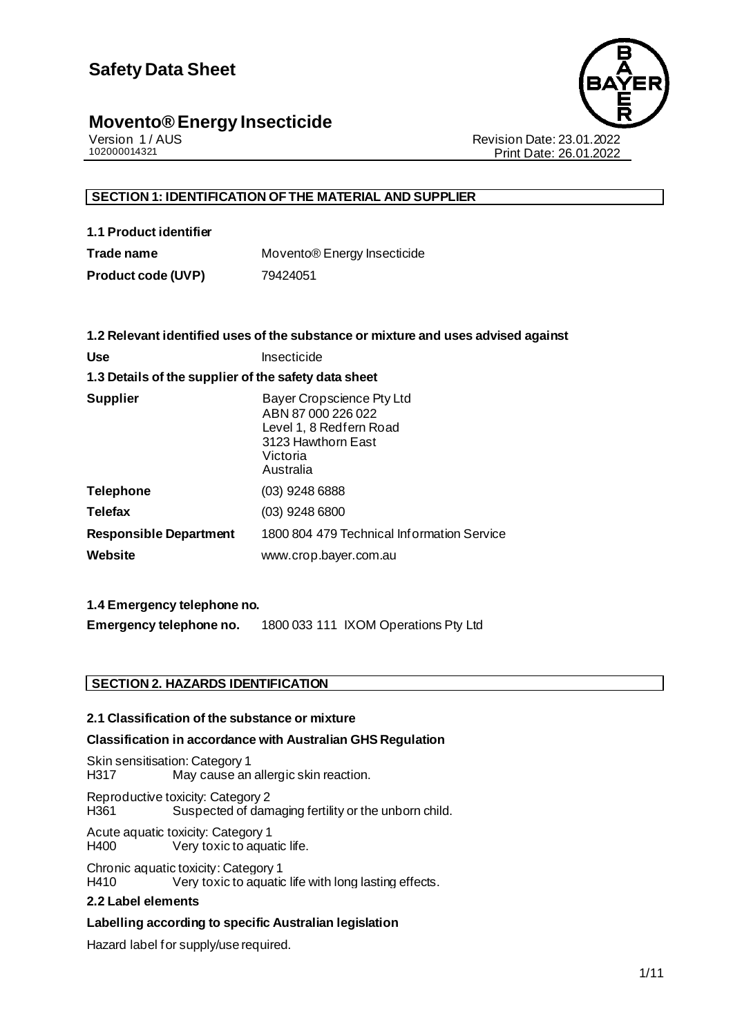

Version 1 / AUS Revision Date: 23.01.2022 Print Date: 26.01.2022

#### **SECTION 1: IDENTIFICATION OF THE MATERIAL AND SUPPLIER**

| 1.1 Product identifier |                                         |
|------------------------|-----------------------------------------|
| Trade name             | Movento <sup>®</sup> Energy Insecticide |

**Product code (UVP)** 79424051

|                                                      | 1.2 Relevant identified uses of the substance or mixture and uses advised against                                         |
|------------------------------------------------------|---------------------------------------------------------------------------------------------------------------------------|
| <b>Use</b>                                           | Insecticide                                                                                                               |
| 1.3 Details of the supplier of the safety data sheet |                                                                                                                           |
| <b>Supplier</b>                                      | Bayer Cropscience Pty Ltd<br>ABN 87 000 226 022<br>Level 1, 8 Redfern Road<br>3123 Hawthorn East<br>Victoria<br>Australia |
| <b>Telephone</b>                                     | $(03)$ 9248 6888                                                                                                          |
| <b>Telefax</b>                                       | (03) 9248 6800                                                                                                            |
| <b>Responsible Department</b>                        | 1800 804 479 Technical Information Service                                                                                |
| Website                                              | www.crop.bayer.com.au                                                                                                     |
|                                                      |                                                                                                                           |

#### **1.4 Emergency telephone no.**

**Emergency telephone no.** 1800 033 111 IXOM Operations Pty Ltd

#### **SECTION 2. HAZARDS IDENTIFICATION**

#### **2.1 Classification of the substance or mixture**

#### **Classification in accordance with Australian GHS Regulation**

Skin sensitisation: Category 1<br>H317 May cause an May cause an allergic skin reaction.

Reproductive toxicity: Category 2 H361 Suspected of damaging fertility or the unborn child.

Acute aquatic toxicity: Category 1 H400 Very toxic to aquatic life.

Chronic aquatic toxicity: Category 1<br>H410 Very toxic to aquatic Very toxic to aquatic life with long lasting effects.

#### **2.2 Label elements**

#### **Labelling according to specific Australian legislation**

Hazard label for supply/use required.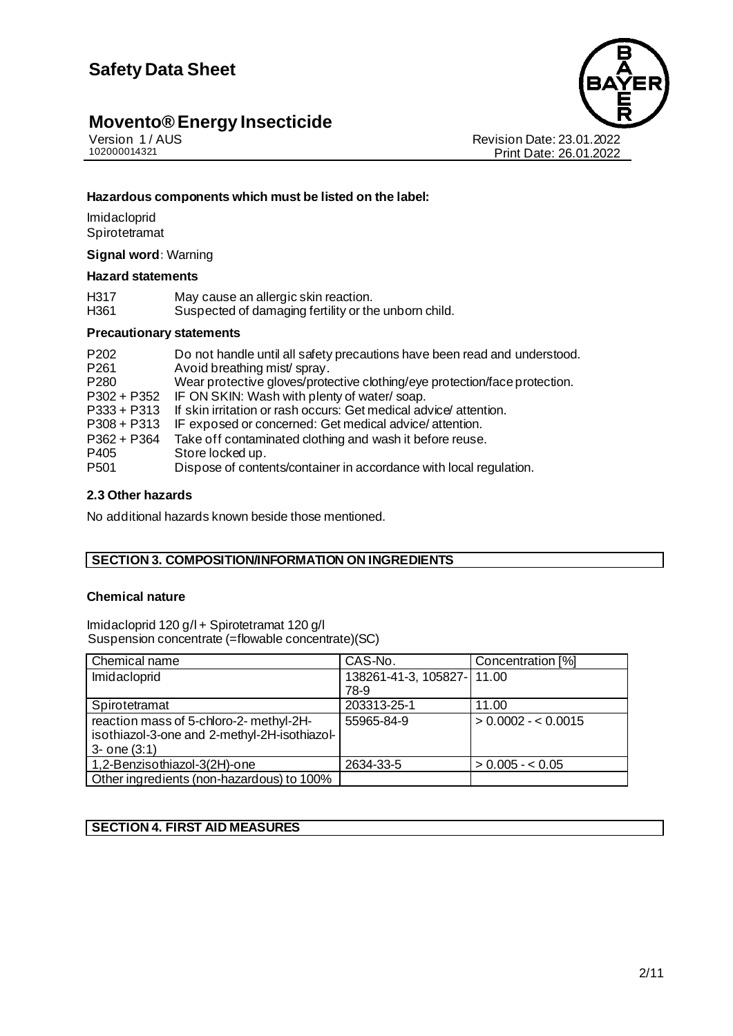

Revision Date: 23.01.2022 Print Date: 26.01.2022

#### **Hazardous components which must be listed on the label:**

**Imidacloprid Spirotetramat** 

**Signal word:** Warning

#### **Hazard statements**

| H <sub>317</sub> | May cause an allergic skin reaction.                 |
|------------------|------------------------------------------------------|
| H361             | Suspected of damaging fertility or the unborn child. |
|                  |                                                      |

#### **Precautionary statements**

| P <sub>202</sub><br>P <sub>261</sub><br>P <sub>280</sub><br>P302 + P352<br>$P333 + P313$<br>$P308 + P313$<br>$P362 + P364$ | Do not handle until all safety precautions have been read and understood.<br>Avoid breathing mist/spray.<br>Wear protective gloves/protective clothing/eye protection/face protection.<br>IF ON SKIN: Wash with plenty of water/soap.<br>If skin irritation or rash occurs: Get medical advice attention.<br>IF exposed or concerned: Get medical advice/attention.<br>Take off contaminated clothing and wash it before reuse. |
|----------------------------------------------------------------------------------------------------------------------------|---------------------------------------------------------------------------------------------------------------------------------------------------------------------------------------------------------------------------------------------------------------------------------------------------------------------------------------------------------------------------------------------------------------------------------|
| P405                                                                                                                       | Store locked up.                                                                                                                                                                                                                                                                                                                                                                                                                |
| P <sub>501</sub>                                                                                                           | Dispose of contents/container in accordance with local regulation.                                                                                                                                                                                                                                                                                                                                                              |
|                                                                                                                            |                                                                                                                                                                                                                                                                                                                                                                                                                                 |

#### **2.3 Other hazards**

No additional hazards known beside those mentioned.

#### **SECTION 3. COMPOSITION/INFORMATION ON INGREDIENTS**

#### **Chemical nature**

Imidacloprid 120 g/l + Spirotetramat 120 g/l Suspension concentrate (=flowable concentrate)(SC)

| Chemical name                                                                                                | CAS-No.                            | Concentration [%]   |
|--------------------------------------------------------------------------------------------------------------|------------------------------------|---------------------|
| Imidacloprid                                                                                                 | 138261-41-3, 105827- 11.00<br>78-9 |                     |
| Spirotetramat                                                                                                | 203313-25-1                        | 11.00               |
| reaction mass of 5-chloro-2- methyl-2H-<br>isothiazol-3-one and 2-methyl-2H-isothiazol-<br>$3 -$ one $(3:1)$ | 55965-84-9                         | $> 0.0002 - 0.0015$ |
| 1,2-Benzisothiazol-3(2H)-one                                                                                 | 2634-33-5                          | $> 0.005 - 0.05$    |
| Other ingredients (non-hazardous) to 100%                                                                    |                                    |                     |

#### **SECTION 4. FIRST AID MEASURES**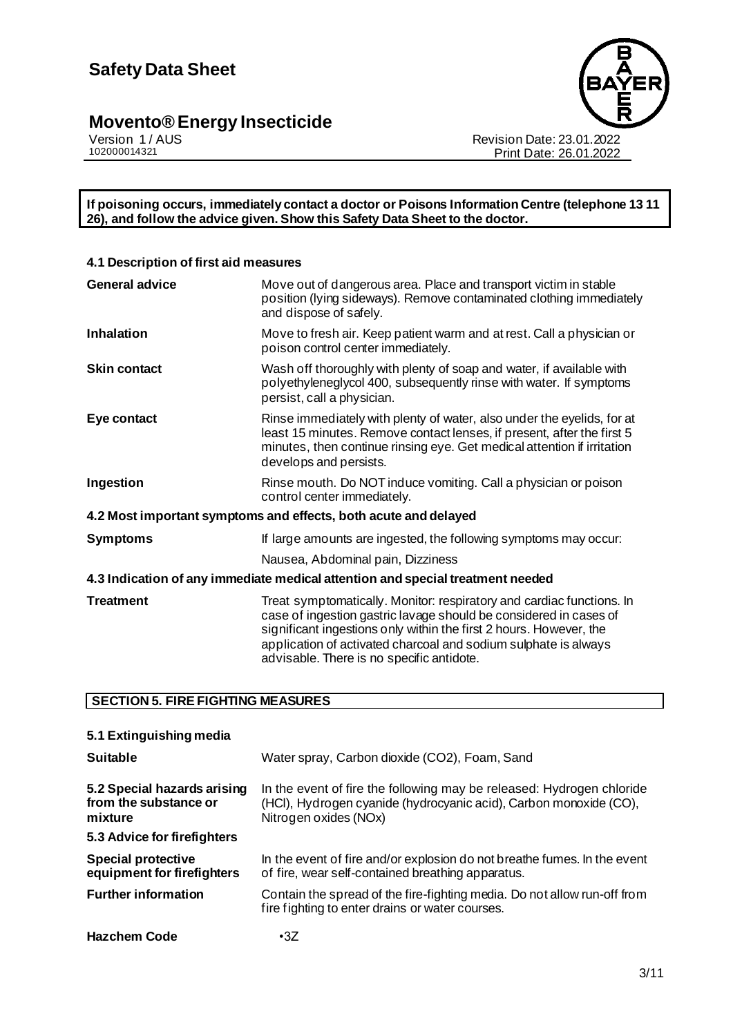

Revision Date: 23.01.2022 Print Date: 26.01.2022

**If poisoning occurs, immediately contact a doctor or Poisons Information Centre (telephone 13 11 26), and follow the advice given. Show this Safety Data Sheet to the doctor.**

| 4.1 Description of first aid measures                                                                                                                                                                                                                                                                                            |  |  |  |
|----------------------------------------------------------------------------------------------------------------------------------------------------------------------------------------------------------------------------------------------------------------------------------------------------------------------------------|--|--|--|
| Move out of dangerous area. Place and transport victim in stable<br>position (lying sideways). Remove contaminated clothing immediately<br>and dispose of safely.                                                                                                                                                                |  |  |  |
| Move to fresh air. Keep patient warm and at rest. Call a physician or<br>poison control center immediately.                                                                                                                                                                                                                      |  |  |  |
| Wash off thoroughly with plenty of soap and water, if available with<br>polyethyleneglycol 400, subsequently rinse with water. If symptoms<br>persist, call a physician.                                                                                                                                                         |  |  |  |
| Rinse immediately with plenty of water, also under the eyelids, for at<br>least 15 minutes. Remove contact lenses, if present, after the first 5<br>minutes, then continue rinsing eye. Get medical attention if irritation<br>develops and persists.                                                                            |  |  |  |
| Rinse mouth. Do NOT induce vomiting. Call a physician or poison<br>control center immediately.                                                                                                                                                                                                                                   |  |  |  |
| 4.2 Most important symptoms and effects, both acute and delayed                                                                                                                                                                                                                                                                  |  |  |  |
| If large amounts are ingested, the following symptoms may occur:                                                                                                                                                                                                                                                                 |  |  |  |
| Nausea, Abdominal pain, Dizziness                                                                                                                                                                                                                                                                                                |  |  |  |
| 4.3 Indication of any immediate medical attention and special treatment needed                                                                                                                                                                                                                                                   |  |  |  |
| Treat symptomatically. Monitor: respiratory and cardiac functions. In<br>case of ingestion gastric lavage should be considered in cases of<br>significant ingestions only within the first 2 hours. However, the<br>application of activated charcoal and sodium sulphate is always<br>advisable. There is no specific antidote. |  |  |  |
|                                                                                                                                                                                                                                                                                                                                  |  |  |  |

#### **SECTION 5. FIRE FIGHTING MEASURES**

| 5.1 Extinguishing media                                         |                                                                                                                                                                     |
|-----------------------------------------------------------------|---------------------------------------------------------------------------------------------------------------------------------------------------------------------|
| <b>Suitable</b>                                                 | Water spray, Carbon dioxide (CO2), Foam, Sand                                                                                                                       |
| 5.2 Special hazards arising<br>from the substance or<br>mixture | In the event of fire the following may be released: Hydrogen chloride<br>(HCI), Hydrogen cyanide (hydrocyanic acid), Carbon monoxide (CO),<br>Nitrogen oxides (NOx) |
| 5.3 Advice for firefighters                                     |                                                                                                                                                                     |
| <b>Special protective</b><br>equipment for firefighters         | In the event of fire and/or explosion do not breathe fumes. In the event<br>of fire, wear self-contained breathing apparatus.                                       |
| <b>Further information</b>                                      | Contain the spread of the fire-fighting media. Do not allow run-off from<br>fire fighting to enter drains or water courses.                                         |
| <b>Hazchem Code</b>                                             | $\cdot$ 3Z                                                                                                                                                          |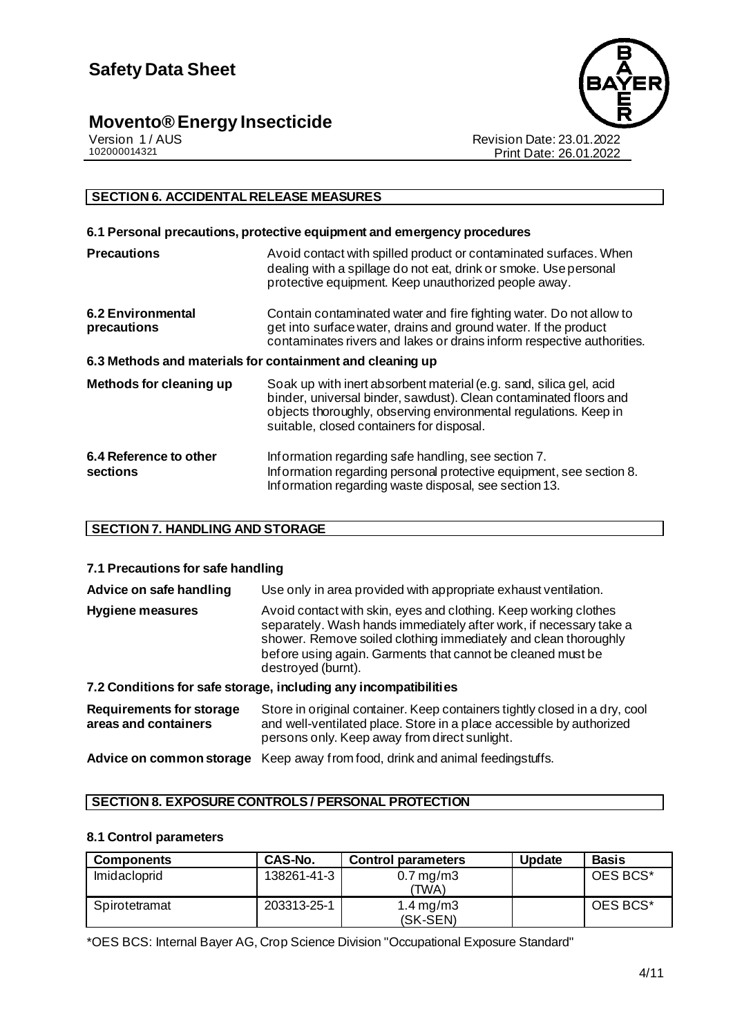

Version 1 / AUS<br>102000014321<br>Print Date: 26.01.2022 Print Date: 26.01.2022

#### **SECTION 6. ACCIDENTAL RELEASE MEASURES**

|                                                           | 6.1 Personal precautions, protective equipment and emergency procedures                                                                                                                                                                                  |
|-----------------------------------------------------------|----------------------------------------------------------------------------------------------------------------------------------------------------------------------------------------------------------------------------------------------------------|
| <b>Precautions</b>                                        | Avoid contact with spilled product or contaminated surfaces. When<br>dealing with a spillage do not eat, drink or smoke. Use personal<br>protective equipment. Keep unauthorized people away.                                                            |
| <b>6.2 Environmental</b><br>precautions                   | Contain contaminated water and fire fighting water. Do not allow to<br>get into surface water, drains and ground water. If the product<br>contaminates rivers and lakes or drains inform respective authorities.                                         |
| 6.3 Methods and materials for containment and cleaning up |                                                                                                                                                                                                                                                          |
| Methods for cleaning up                                   | Soak up with inert absorbent material (e.g. sand, silica gel, acid<br>binder, universal binder, sawdust). Clean contaminated floors and<br>objects thoroughly, observing environmental regulations. Keep in<br>suitable, closed containers for disposal. |
| 6.4 Reference to other<br>sections                        | Information regarding safe handling, see section 7.<br>Information regarding personal protective equipment, see section 8.<br>Information regarding waste disposal, see section 13.                                                                      |

#### **SECTION 7. HANDLING AND STORAGE**

#### **7.1 Precautions for safe handling**

| Advice on safe handling                                 | Use only in area provided with appropriate exhaust ventilation.                                                                                                                                                                                                                                |  |
|---------------------------------------------------------|------------------------------------------------------------------------------------------------------------------------------------------------------------------------------------------------------------------------------------------------------------------------------------------------|--|
| Hygiene measures                                        | Avoid contact with skin, eyes and clothing. Keep working clothes<br>separately. Wash hands immediately after work, if necessary take a<br>shower. Remove soiled clothing immediately and clean thoroughly<br>before using again. Garments that cannot be cleaned must be<br>destroved (burnt). |  |
|                                                         | 7.2 Conditions for safe storage, including any incompatibilities                                                                                                                                                                                                                               |  |
| <b>Requirements for storage</b><br>areas and containers | Store in original container. Keep containers tightly closed in a dry, cool<br>and well-ventilated place. Store in a place accessible by authorized<br>persons only. Keep away from direct sunlight.                                                                                            |  |

**Advice on common storage** Keep away from food, drink and animal feedingstuffs.

#### **SECTION 8. EXPOSURE CONTROLS / PERSONAL PROTECTION**

#### **8.1 Control parameters**

| <b>Components</b> | CAS-No.     | <b>Control parameters</b>       | <b>Update</b> | <b>Basis</b> |
|-------------------|-------------|---------------------------------|---------------|--------------|
| Imidacloprid      | 138261-41-3 | $0.7 \,\mathrm{mg/m3}$<br>(TWA) |               | OES BCS*     |
| Spirotetramat     | 203313-25-1 | 1.4 mg/m $3$<br>(SK-SEN)        |               | OES BCS*     |

\*OES BCS: Internal Bayer AG, Crop Science Division "Occupational Exposure Standard"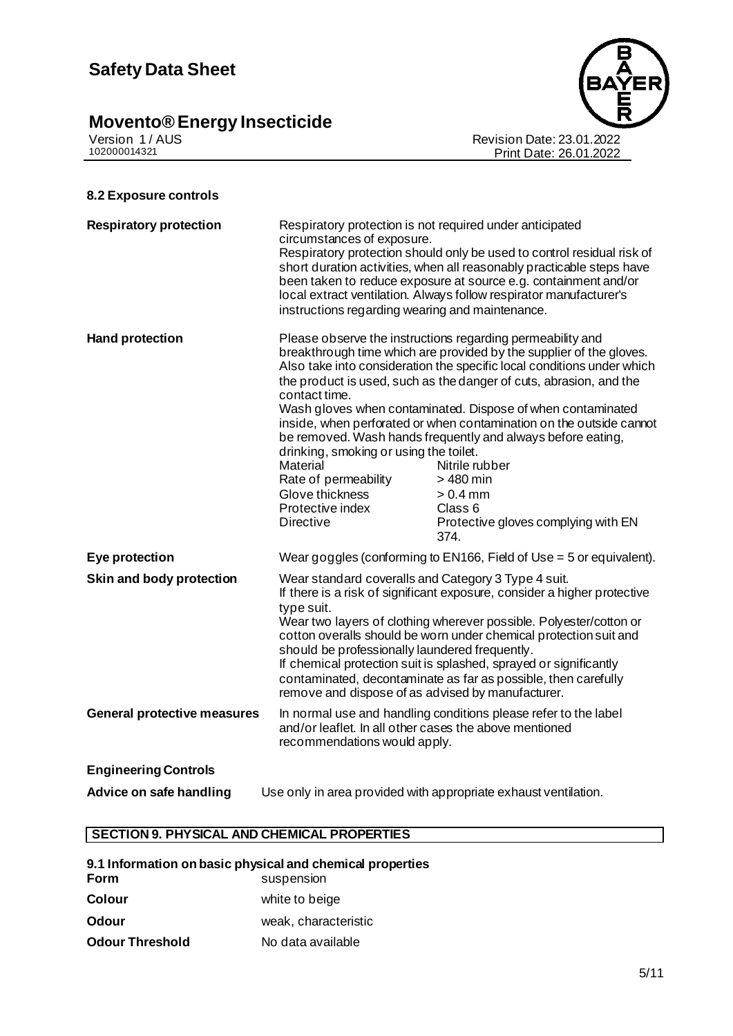## **Safety Data Sheet**

### **Movento® Energy Insecticide 5/11**



Version 1 / AUS Revision Date: 23.01.2022 102000014321 Print Date: 26.01.2022

#### **8.2 Exposure controls**

| <b>Respiratory protection</b>      | Respiratory protection is not required under anticipated<br>circumstances of exposure.<br>instructions regarding wearing and maintenance.                                                                                                                                                                                                                                                                                                                                                                                              | Respiratory protection should only be used to control residual risk of<br>short duration activities, when all reasonably practicable steps have<br>been taken to reduce exposure at source e.g. containment and/or<br>local extract ventilation. Always follow respirator manufacturer's                                                                                                                                                                                                                                                                                                      |
|------------------------------------|----------------------------------------------------------------------------------------------------------------------------------------------------------------------------------------------------------------------------------------------------------------------------------------------------------------------------------------------------------------------------------------------------------------------------------------------------------------------------------------------------------------------------------------|-----------------------------------------------------------------------------------------------------------------------------------------------------------------------------------------------------------------------------------------------------------------------------------------------------------------------------------------------------------------------------------------------------------------------------------------------------------------------------------------------------------------------------------------------------------------------------------------------|
| <b>Hand protection</b>             | contact time.<br>drinking, smoking or using the toilet.<br>Material<br>Rate of permeability<br>Glove thickness<br>Protective index<br><b>Directive</b>                                                                                                                                                                                                                                                                                                                                                                                 | Please observe the instructions regarding permeability and<br>breakthrough time which are provided by the supplier of the gloves.<br>Also take into consideration the specific local conditions under which<br>the product is used, such as the danger of cuts, abrasion, and the<br>Wash gloves when contaminated. Dispose of when contaminated<br>inside, when perforated or when contamination on the outside cannot<br>be removed. Wash hands frequently and always before eating,<br>Nitrile rubber<br>> 480 min<br>$> 0.4$ mm<br>Class 6<br>Protective gloves complying with EN<br>374. |
| Eye protection                     |                                                                                                                                                                                                                                                                                                                                                                                                                                                                                                                                        | Wear goggles (conforming to EN166, Field of Use = 5 or equivalent).                                                                                                                                                                                                                                                                                                                                                                                                                                                                                                                           |
| Skin and body protection           | Wear standard coveralls and Category 3 Type 4 suit.<br>If there is a risk of significant exposure, consider a higher protective<br>type suit.<br>Wear two layers of clothing wherever possible. Polyester/cotton or<br>cotton overalls should be worn under chemical protection suit and<br>should be professionally laundered frequently.<br>If chemical protection suit is splashed, sprayed or significantly<br>contaminated, decontaminate as far as possible, then carefully<br>remove and dispose of as advised by manufacturer. |                                                                                                                                                                                                                                                                                                                                                                                                                                                                                                                                                                                               |
| <b>General protective measures</b> | In normal use and handling conditions please refer to the label<br>and/or leaflet. In all other cases the above mentioned<br>recommendations would apply.                                                                                                                                                                                                                                                                                                                                                                              |                                                                                                                                                                                                                                                                                                                                                                                                                                                                                                                                                                                               |
| <b>Engineering Controls</b>        |                                                                                                                                                                                                                                                                                                                                                                                                                                                                                                                                        |                                                                                                                                                                                                                                                                                                                                                                                                                                                                                                                                                                                               |
| Advice on safe handling            |                                                                                                                                                                                                                                                                                                                                                                                                                                                                                                                                        | Use only in area provided with appropriate exhaust ventilation.                                                                                                                                                                                                                                                                                                                                                                                                                                                                                                                               |

#### **SECTION 9. PHYSICAL AND CHEMICAL PROPERTIES**

|                        | 9.1 Information on basic physical and chemical properties |
|------------------------|-----------------------------------------------------------|
| Form                   | suspension                                                |
| Colour                 | white to beige                                            |
| <b>Odour</b>           | weak, characteristic                                      |
| <b>Odour Threshold</b> | No data available                                         |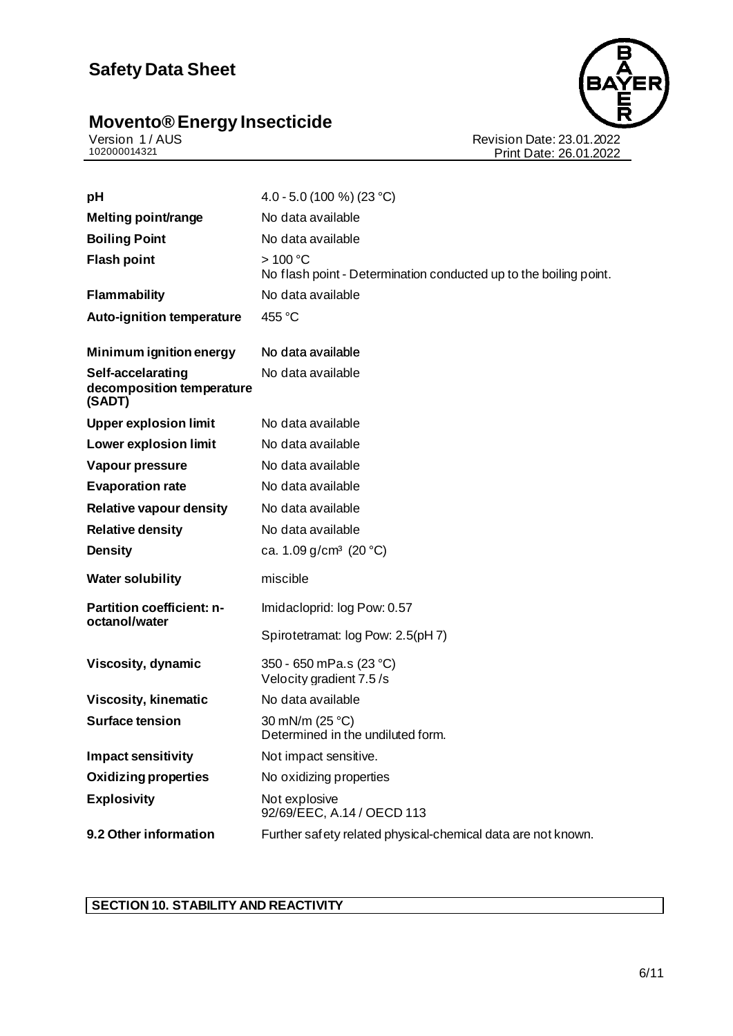## **Safety Data Sheet**

### **Movento® Energy Insecticide 6/11**



Version 1 / AUS Revision Date: 23.01.2022 102000014321 Print Date: 26.01.2022

| pH                                                       | 4.0 - 5.0 (100 %) (23 °C)                                                             |
|----------------------------------------------------------|---------------------------------------------------------------------------------------|
| Melting point/range                                      | No data available                                                                     |
| <b>Boiling Point</b>                                     | No data available                                                                     |
| <b>Flash point</b>                                       | $>100^{\circ}$ C<br>No flash point - Determination conducted up to the boiling point. |
| <b>Flammability</b>                                      | No data available                                                                     |
| <b>Auto-ignition temperature</b>                         | 455 °C                                                                                |
| Minimum ignition energy                                  | No data available                                                                     |
| Self-accelarating<br>decomposition temperature<br>(SADT) | No data available                                                                     |
| <b>Upper explosion limit</b>                             | No data available                                                                     |
| <b>Lower explosion limit</b>                             | No data available                                                                     |
| Vapour pressure                                          | No data available                                                                     |
| <b>Evaporation rate</b>                                  | No data available                                                                     |
| <b>Relative vapour density</b>                           | No data available                                                                     |
| <b>Relative density</b>                                  | No data available                                                                     |
| <b>Density</b>                                           | ca. 1.09 g/cm <sup>3</sup> (20 °C)                                                    |
| <b>Water solubility</b>                                  | miscible                                                                              |
| <b>Partition coefficient: n-</b><br>octanol/water        | Imidacloprid: log Pow: 0.57                                                           |
|                                                          | Spirotetramat: log Pow: 2.5(pH 7)                                                     |
| Viscosity, dynamic                                       | 350 - 650 mPa.s (23 °C)<br>Velocity gradient 7.5/s                                    |
| <b>Viscosity, kinematic</b>                              | No data available                                                                     |
| <b>Surface tension</b>                                   | 30 mN/m (25 °C)<br>Determined in the undiluted form.                                  |
| <b>Impact sensitivity</b>                                | Not impact sensitive.                                                                 |
| <b>Oxidizing properties</b>                              | No oxidizing properties                                                               |
| <b>Explosivity</b>                                       | Not explosive<br>92/69/EEC, A.14 / OECD 113                                           |
| 9.2 Other information                                    | Further safety related physical-chemical data are not known.                          |

### **SECTION 10. STABILITY AND REACTIVITY**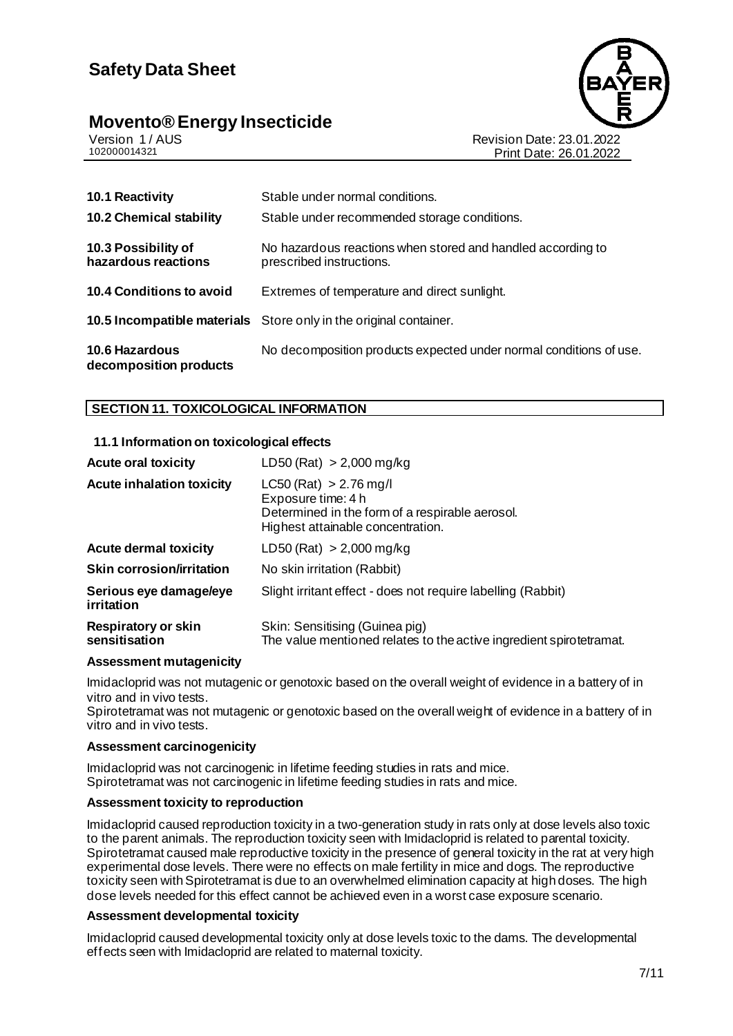### **Safety Data Sheet**

## **Movento® Energy Insecticide**<br>Version 1/AUS



Version 1 / AUS<br>102000014321<br>Print Date: 26.01.2022 Print Date: 26.01.2022

| <b>10.1 Reactivity</b>                          | Stable under normal conditions.                                                         |
|-------------------------------------------------|-----------------------------------------------------------------------------------------|
| <b>10.2 Chemical stability</b>                  | Stable under recommended storage conditions.                                            |
| 10.3 Possibility of<br>hazardous reactions      | No hazardous reactions when stored and handled according to<br>prescribed instructions. |
| 10.4 Conditions to avoid                        | Extremes of temperature and direct sunlight.                                            |
|                                                 | <b>10.5 Incompatible materials</b> Store only in the original container.                |
| <b>10.6 Hazardous</b><br>decomposition products | No decomposition products expected under normal conditions of use.                      |

#### **SECTION 11. TOXICOLOGICAL INFORMATION**

#### **11.1 Information on toxicological effects**

| <b>Acute oral toxicity</b>           | LD50 (Rat) $> 2,000$ mg/kg                                                                                                               |
|--------------------------------------|------------------------------------------------------------------------------------------------------------------------------------------|
| <b>Acute inhalation toxicity</b>     | $LC50$ (Rat) $> 2.76$ mg/l<br>Exposure time: 4 h<br>Determined in the form of a respirable aerosol.<br>Highest attainable concentration. |
| <b>Acute dermal toxicity</b>         | LD50 (Rat) $> 2,000$ mg/kg                                                                                                               |
| <b>Skin corrosion/irritation</b>     | No skin irritation (Rabbit)                                                                                                              |
| Serious eye damage/eye<br>irritation | Slight irritant effect - does not require labelling (Rabbit)                                                                             |
| Respiratory or skin<br>sensitisation | Skin: Sensitising (Guinea pig)<br>The value mentioned relates to the active ingredient spirotetramat.                                    |

#### **Assessment mutagenicity**

Imidacloprid was not mutagenic or genotoxic based on the overall weight of evidence in a battery of in vitro and in vivo tests.

Spirotetramat was not mutagenic or genotoxic based on the overall weight of evidence in a battery of in vitro and in vivo tests.

#### **Assessment carcinogenicity**

Imidacloprid was not carcinogenic in lifetime feeding studies in rats and mice. Spirotetramat was not carcinogenic in lifetime feeding studies in rats and mice.

#### **Assessment toxicity to reproduction**

Imidacloprid caused reproduction toxicity in a two-generation study in rats only at dose levels also toxic to the parent animals. The reproduction toxicity seen with Imidacloprid is related to parental toxicity. Spirotetramat caused male reproductive toxicity in the presence of general toxicity in the rat at very high experimental dose levels. There were no effects on male fertility in mice and dogs. The reproductive toxicity seen with Spirotetramat is due to an overwhelmed elimination capacity at high doses. The high dose levels needed for this effect cannot be achieved even in a worst case exposure scenario.

#### **Assessment developmental toxicity**

Imidacloprid caused developmental toxicity only at dose levels toxic to the dams. The developmental effects seen with Imidacloprid are related to maternal toxicity.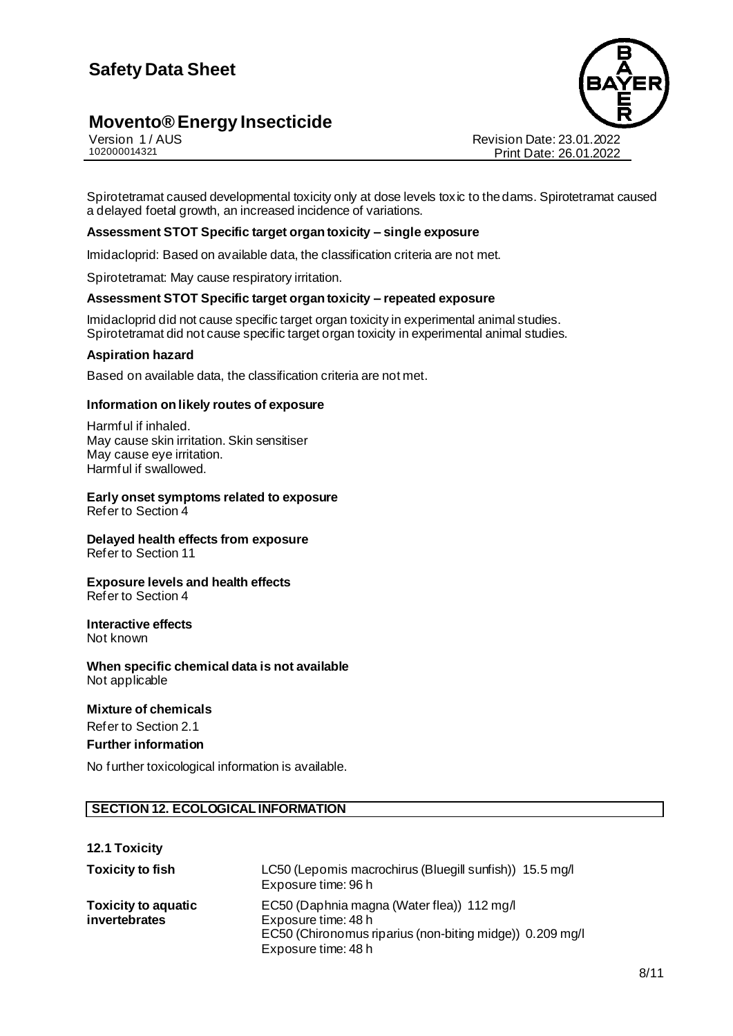

Version 1 / AUS<br>102000014321<br>Print Date: 26.01.2022 Print Date: 26.01.2022

Spirotetramat caused developmental toxicity only at dose levels toxic to the dams. Spirotetramat caused a delayed foetal growth, an increased incidence of variations.

#### **Assessment STOT Specific target organ toxicity – single exposure**

Imidacloprid: Based on available data, the classification criteria are not met.

Spirotetramat: May cause respiratory irritation.

#### **Assessment STOT Specific target organ toxicity – repeated exposure**

Imidacloprid did not cause specific target organ toxicity in experimental animal studies. Spirotetramat did not cause specific target organ toxicity in experimental animal studies.

#### **Aspiration hazard**

Based on available data, the classification criteria are not met.

#### **Information on likely routes of exposure**

Harmful if inhaled. May cause skin irritation. Skin sensitiser May cause eye irritation. Harmful if swallowed.

### **Early onset symptoms related to exposure**

Refer to Section 4

#### **Delayed health effects from exposure**  Refer to Section 11

#### **Exposure levels and health effects**  Refer to Section 4

#### **Interactive effects**  Not known

**When specific chemical data is not available**  Not applicable

#### **Mixture of chemicals**

Refer to Section 2.1

#### **Further information**

No further toxicological information is available.

#### **SECTION 12. ECOLOGICAL INFORMATION**

#### **12.1 Toxicity**

| <b>Toxicity to fish</b>                     | LC50 (Lepomis macrochirus (Bluegill sunfish)) 15.5 mg/l<br>Exposure time: 96 h                                                                       |
|---------------------------------------------|------------------------------------------------------------------------------------------------------------------------------------------------------|
| <b>Toxicity to aquatic</b><br>invertebrates | EC50 (Daphnia magna (Water flea)) 112 mg/l<br>Exposure time: 48 h<br>EC50 (Chironomus riparius (non-biting midge)) 0.209 mg/l<br>Exposure time: 48 h |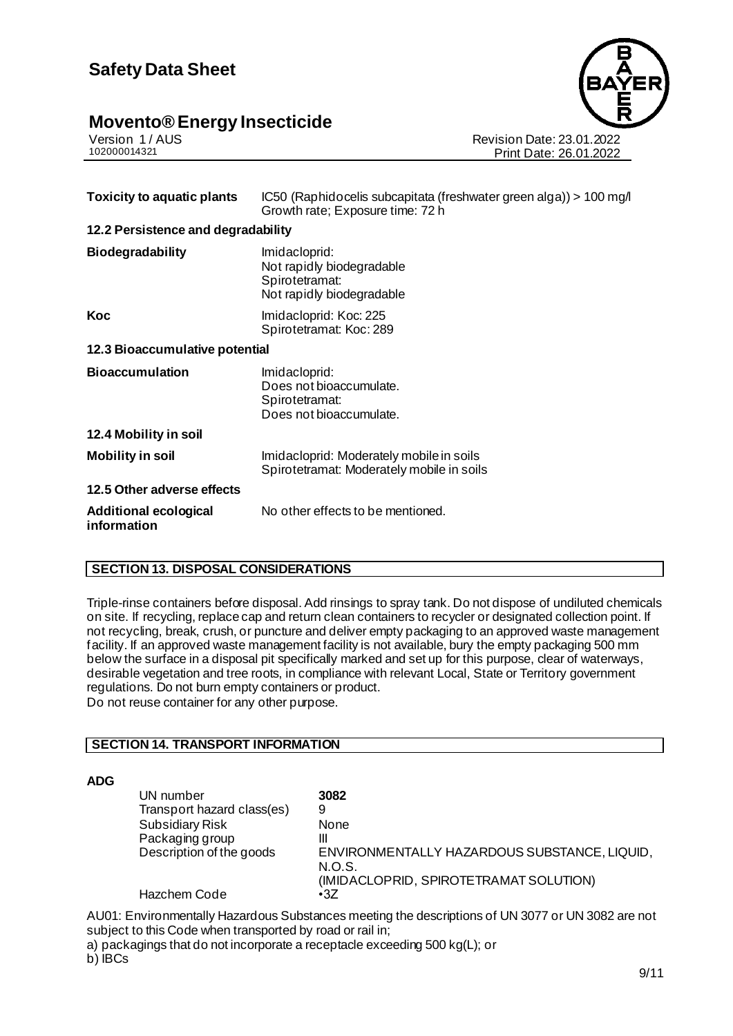

Version 1 / AUS<br>102000014321<br>Print Date: 26.01.2022 Print Date: 26.01.2022

| IC50 (Raphidocelis subcapitata (freshwater green alga)) > 100 mg/l<br>Growth rate; Exposure time: 72 h |  |
|--------------------------------------------------------------------------------------------------------|--|
| 12.2 Persistence and degradability                                                                     |  |
| Imidacloprid:<br>Not rapidly biodegradable<br>Spirotetramat:<br>Not rapidly biodegradable              |  |
| Imidacloprid: Koc: 225<br>Spirotetramat: Koc: 289                                                      |  |
| 12.3 Bioaccumulative potential                                                                         |  |
| Imidacloprid:<br>Does not bioaccumulate.<br>Spirotetramat:<br>Does not bioaccumulate.                  |  |
|                                                                                                        |  |
| Imidacloprid: Moderately mobile in soils<br>Spirotetramat: Moderately mobile in soils                  |  |
|                                                                                                        |  |
| No other effects to be mentioned.                                                                      |  |
|                                                                                                        |  |

#### **SECTION 13. DISPOSAL CONSIDERATIONS**

Triple-rinse containers before disposal. Add rinsings to spray tank. Do not dispose of undiluted chemicals on site. If recycling, replace cap and return clean containers to recycler or designated collection point. If not recycling, break, crush, or puncture and deliver empty packaging to an approved waste management facility. If an approved waste management facility is not available, bury the empty packaging 500 mm below the surface in a disposal pit specifically marked and set up for this purpose, clear of waterways, desirable vegetation and tree roots, in compliance with relevant Local, State or Territory government regulations. Do not burn empty containers or product. Do not reuse container for any other purpose.

#### **SECTION 14. TRANSPORT INFORMATION**

#### **ADG**

| UN number                  | 3082                                         |
|----------------------------|----------------------------------------------|
| Transport hazard class(es) | 9                                            |
| <b>Subsidiary Risk</b>     | None                                         |
| Packaging group            | Ш                                            |
| Description of the goods   | ENVIRONMENTALLY HAZARDOUS SUBSTANCE, LIQUID, |
|                            | N.O.S.                                       |
|                            | (IMIDACLOPRID, SPIROTETRAMAT SOLUTION)       |
| Hazchem Code               | $\cdot$ 3Z                                   |

AU01: Environmentally Hazardous Substances meeting the descriptions of UN 3077 or UN 3082 are not subject to this Code when transported by road or rail in; a) packagings that do not incorporate a receptacle exceeding 500 kg(L); or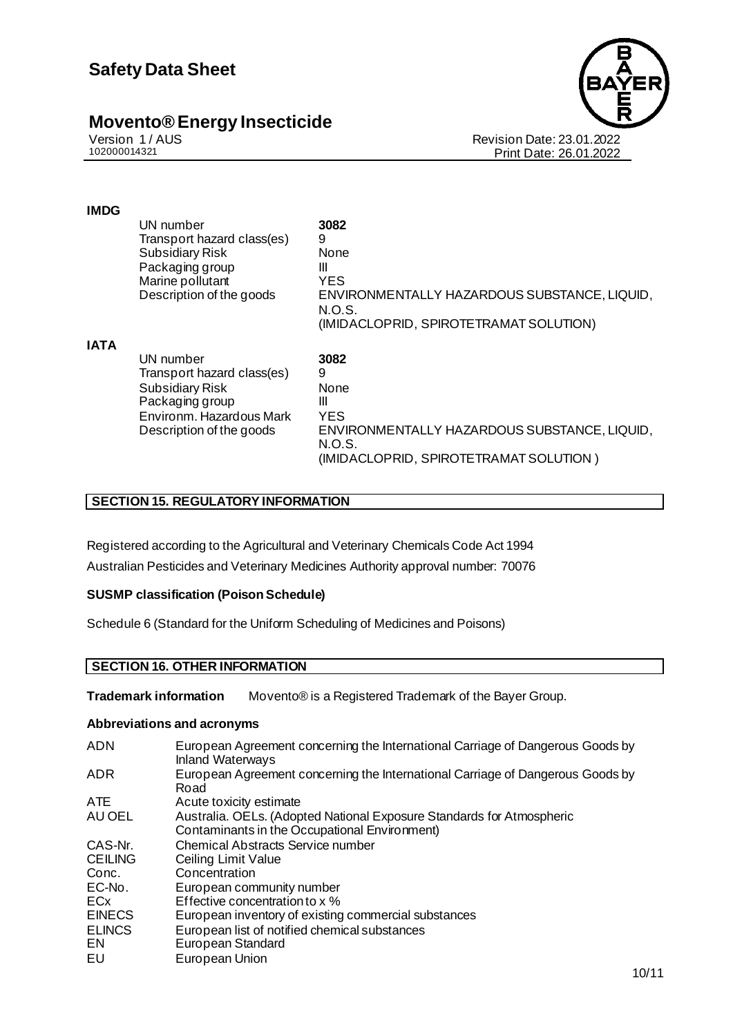

Revision Date: 23.01.2022 Print Date: 26.01.2022

#### **IMDG**

|             | UN number<br>Transport hazard class(es)<br><b>Subsidiary Risk</b><br>Packaging group<br>Marine pollutant<br>Description of the goods         | 3082<br>9<br>None<br>Ш<br><b>YES</b><br>ENVIRONMENTALLY HAZARDOUS SUBSTANCE, LIQUID,<br>N.O.S.<br>(IMIDACLOPRID, SPIROTETRAMAT SOLUTION) |
|-------------|----------------------------------------------------------------------------------------------------------------------------------------------|------------------------------------------------------------------------------------------------------------------------------------------|
| <b>IATA</b> | UN number<br>Transport hazard class(es)<br><b>Subsidiary Risk</b><br>Packaging group<br>Environm, Hazardous Mark<br>Description of the goods | 3082<br>9<br>None<br>Ш<br><b>YES</b><br>ENVIRONMENTALLY HAZARDOUS SUBSTANCE, LIQUID,<br>N.O.S.<br>(IMIDACLOPRID, SPIROTETRAMAT SOLUTION) |

#### **SECTION 15. REGULATORY INFORMATION**

Registered according to the Agricultural and Veterinary Chemicals Code Act 1994 Australian Pesticides and Veterinary Medicines Authority approval number: 70076

#### **SUSMP classification (Poison Schedule)**

Schedule 6 (Standard for the Uniform Scheduling of Medicines and Poisons)

#### **SECTION 16. OTHER INFORMATION**

**Trademark information** Movento® is a Registered Trademark of the Bayer Group.

#### **Abbreviations and acronyms**

| <b>ADN</b>     | European Agreement concerning the International Carriage of Dangerous Goods by<br><b>Inland Waterways</b>              |
|----------------|------------------------------------------------------------------------------------------------------------------------|
| <b>ADR</b>     | European Agreement concerning the International Carriage of Dangerous Goods by<br>Road                                 |
| <b>ATE</b>     | Acute toxicity estimate                                                                                                |
| AU OEL         | Australia. OELs. (Adopted National Exposure Standards for Atmospheric<br>Contaminants in the Occupational Environment) |
| CAS-Nr.        | <b>Chemical Abstracts Service number</b>                                                                               |
| <b>CEILING</b> | Ceiling Limit Value                                                                                                    |
| Conc.          | Concentration                                                                                                          |
| EC-No.         | European community number                                                                                              |
| ECx            | Effective concentration to x %                                                                                         |
| <b>EINECS</b>  | European inventory of existing commercial substances                                                                   |
| <b>ELINCS</b>  | European list of notified chemical substances                                                                          |
| EN.            | European Standard                                                                                                      |
| EU             | European Union                                                                                                         |